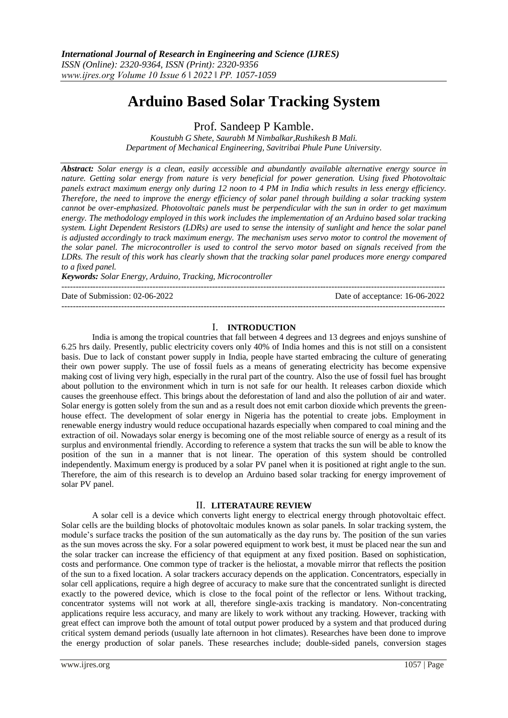# **Arduino Based Solar Tracking System**

Prof. Sandeep P Kamble.

*Koustubh G Shete, Saurabh M Nimbalkar,Rushikesh B Mali. Department of Mechanical Engineering, Savitribai Phule Pune University.*

*Abstract: Solar energy is a clean, easily accessible and abundantly available alternative energy source in nature. Getting solar energy from nature is very beneficial for power generation. Using fixed Photovoltaic panels extract maximum energy only during 12 noon to 4 PM in India which results in less energy efficiency. Therefore, the need to improve the energy efficiency of solar panel through building a solar tracking system cannot be over-emphasized. Photovoltaic panels must be perpendicular with the sun in order to get maximum energy. The methodology employed in this work includes the implementation of an Arduino based solar tracking system. Light Dependent Resistors (LDRs) are used to sense the intensity of sunlight and hence the solar panel is adjusted accordingly to track maximum energy. The mechanism uses servo motor to control the movement of the solar panel. The microcontroller is used to control the servo motor based on signals received from the LDRs. The result of this work has clearly shown that the tracking solar panel produces more energy compared to a fixed panel.* 

*Keywords: Solar Energy, Arduino, Tracking, Microcontroller*

Date of Submission: 02-06-2022 Date of acceptance: 16-06-2022

## I. **INTRODUCTION**

---------------------------------------------------------------------------------------------------------------------------------------

---------------------------------------------------------------------------------------------------------------------------------------

India is among the tropical countries that fall between 4 degrees and 13 degrees and enjoys sunshine of 6.25 hrs daily. Presently, public electricity covers only 40% of India homes and this is not still on a consistent basis. Due to lack of constant power supply in India, people have started embracing the culture of generating their own power supply. The use of fossil fuels as a means of generating electricity has become expensive making cost of living very high, especially in the rural part of the country. Also the use of fossil fuel has brought about pollution to the environment which in turn is not safe for our health. It releases carbon dioxide which causes the greenhouse effect. This brings about the deforestation of land and also the pollution of air and water. Solar energy is gotten solely from the sun and as a result does not emit carbon dioxide which prevents the greenhouse effect. The development of solar energy in Nigeria has the potential to create jobs. Employment in renewable energy industry would reduce occupational hazards especially when compared to coal mining and the extraction of oil. Nowadays solar energy is becoming one of the most reliable source of energy as a result of its surplus and environmental friendly. According to reference a system that tracks the sun will be able to know the position of the sun in a manner that is not linear. The operation of this system should be controlled independently. Maximum energy is produced by a solar PV panel when it is positioned at right angle to the sun. Therefore, the aim of this research is to develop an Arduino based solar tracking for energy improvement of solar PV panel.

## II. **LITERATAURE REVIEW**

A solar cell is a device which converts light energy to electrical energy through photovoltaic effect. Solar cells are the building blocks of photovoltaic modules known as solar panels. In solar tracking system, the module's surface tracks the position of the sun automatically as the day runs by. The position of the sun varies as the sun moves across the sky. For a solar powered equipment to work best, it must be placed near the sun and the solar tracker can increase the efficiency of that equipment at any fixed position. Based on sophistication, costs and performance. One common type of tracker is the heliostat, a movable mirror that reflects the position of the sun to a fixed location. A solar trackers accuracy depends on the application. Concentrators, especially in solar cell applications, require a high degree of accuracy to make sure that the concentrated sunlight is directed exactly to the powered device, which is close to the focal point of the reflector or lens. Without tracking, concentrator systems will not work at all, therefore single-axis tracking is mandatory. Non-concentrating applications require less accuracy, and many are likely to work without any tracking. However, tracking with great effect can improve both the amount of total output power produced by a system and that produced during critical system demand periods (usually late afternoon in hot climates). Researches have been done to improve the energy production of solar panels. These researches include; double-sided panels, conversion stages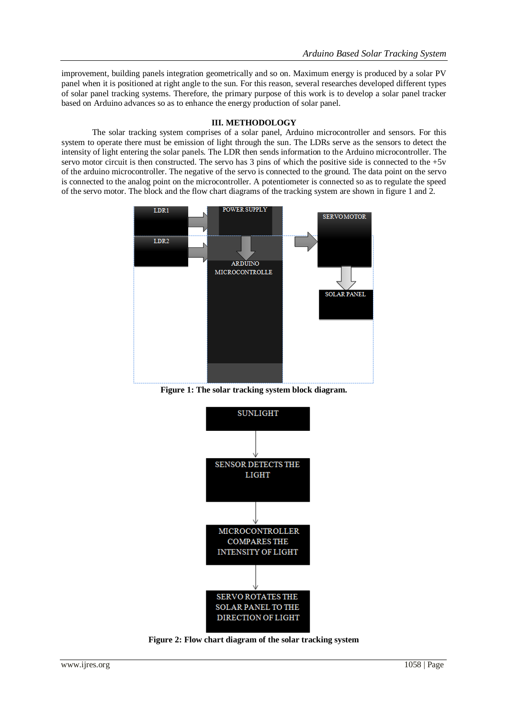improvement, building panels integration geometrically and so on. Maximum energy is produced by a solar PV panel when it is positioned at right angle to the sun. For this reason, several researches developed different types of solar panel tracking systems. Therefore, the primary purpose of this work is to develop a solar panel tracker based on Arduino advances so as to enhance the energy production of solar panel.

# **III. METHODOLOGY**

The solar tracking system comprises of a solar panel, Arduino microcontroller and sensors. For this system to operate there must be emission of light through the sun. The LDRs serve as the sensors to detect the intensity of light entering the solar panels. The LDR then sends information to the Arduino microcontroller. The servo motor circuit is then constructed. The servo has 3 pins of which the positive side is connected to the +5v of the arduino microcontroller. The negative of the servo is connected to the ground. The data point on the servo is connected to the analog point on the microcontroller. A potentiometer is connected so as to regulate the speed of the servo motor. The block and the flow chart diagrams of the tracking system are shown in figure 1 and 2.



**Figure 1: The solar tracking system block diagram.**



**Figure 2: Flow chart diagram of the solar tracking system**